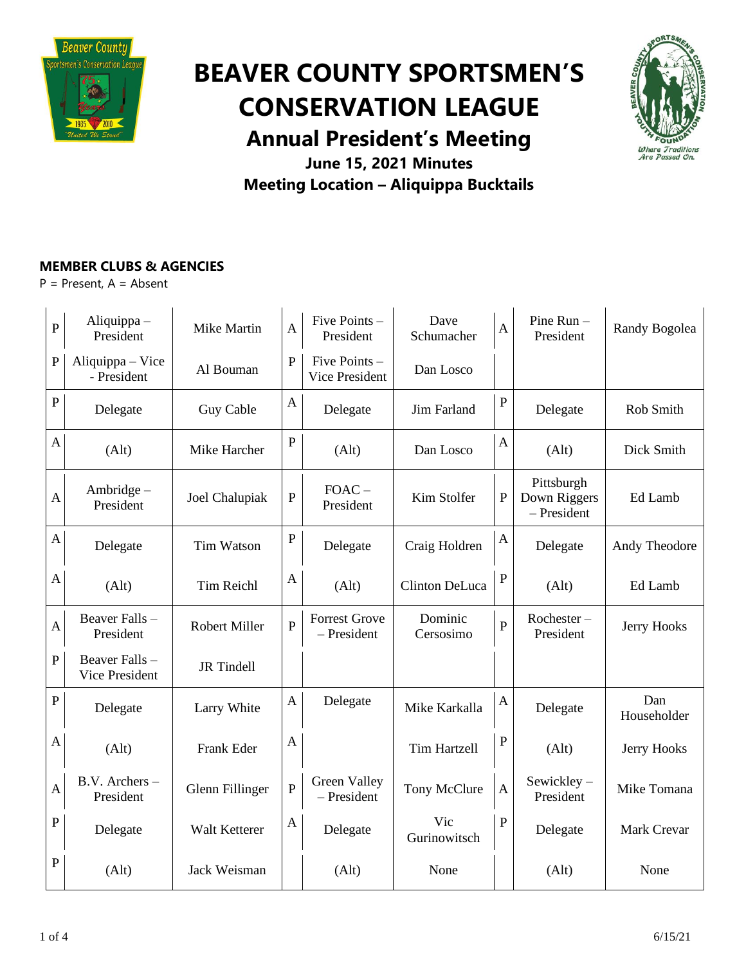

# **BEAVER COUNTY SPORTSMEN'S CONSERVATION LEAGUE**



# **Annual President's Meeting June 15, 2021 Minutes Meeting Location – Aliquippa Bucktails**

## **MEMBER CLUBS & AGENCIES**

 $P =$  Present,  $A =$  Absent

| $\overline{P}$ | Aliquippa $-$<br>President             | Mike Martin       | $\mathbf{A}$   | Five Points -<br>President            | Dave<br>Schumacher    | $\mathbf{A}$   | Pine Run -<br>President                     | Randy Bogolea      |
|----------------|----------------------------------------|-------------------|----------------|---------------------------------------|-----------------------|----------------|---------------------------------------------|--------------------|
| $\mathbf P$    | Aliquippa - Vice<br>- President        | Al Bouman         | $\mathbf{P}$   | Five Points-<br><b>Vice President</b> | Dan Losco             |                |                                             |                    |
| $\mathbf{P}$   | Delegate                               | Guy Cable         | $\mathbf{A}$   | Delegate                              | Jim Farland           | $\mathbf P$    | Delegate                                    | Rob Smith          |
| $\overline{A}$ | (Alt)                                  | Mike Harcher      | $\mathbf P$    | (Alt)                                 | Dan Losco             | $\mathbf{A}$   | (A <sup>1</sup> t)                          | Dick Smith         |
| $\overline{A}$ | $Ambridge-$<br>President               | Joel Chalupiak    | ${\bf P}$      | $FOAC -$<br>President                 | Kim Stolfer           | ${\bf P}$      | Pittsburgh<br>Down Riggers<br>$-$ President | Ed Lamb            |
| $\mathbf{A}$   | Delegate                               | Tim Watson        | $\mathbf P$    | Delegate                              | Craig Holdren         | A              | Delegate                                    | Andy Theodore      |
| $\mathbf{A}$   | (Alt)                                  | <b>Tim Reichl</b> | A              | (Alt)                                 | <b>Clinton DeLuca</b> | ${\bf P}$      | (Alt)                                       | Ed Lamb            |
| $\mathbf{A}$   | Beaver Falls -<br>President            | Robert Miller     | $\overline{P}$ | <b>Forrest Grove</b><br>$-$ President | Dominic<br>Cersosimo  | $\overline{P}$ | Rochester-<br>President                     | Jerry Hooks        |
| $\overline{P}$ | Beaver Falls-<br><b>Vice President</b> | <b>JR</b> Tindell |                |                                       |                       |                |                                             |                    |
| $\mathbf P$    | Delegate                               | Larry White       | $\mathbf{A}$   | Delegate                              | Mike Karkalla         | $\mathbf{A}$   | Delegate                                    | Dan<br>Householder |
| $\mathbf{A}$   | (Alt)                                  | Frank Eder        | A              |                                       | <b>Tim Hartzell</b>   | ${\bf P}$      | (Alt)                                       | Jerry Hooks        |
| $\mathbf{A}$   | B.V. Archers -<br>President            | Glenn Fillinger   | $\overline{P}$ | Green Valley<br>$-$ President         | Tony McClure          | $\mathbf{A}$   | Sewickley-<br>President                     | Mike Tomana        |
| $\overline{P}$ | Delegate                               | Walt Ketterer     | $\mathbf{A}$   | Delegate                              | Vic<br>Gurinowitsch   | ${\bf P}$      | Delegate                                    | Mark Crevar        |
| $\overline{P}$ | (Alt)                                  | Jack Weisman      |                | (Alt)                                 | None                  |                | (Alt)                                       | None               |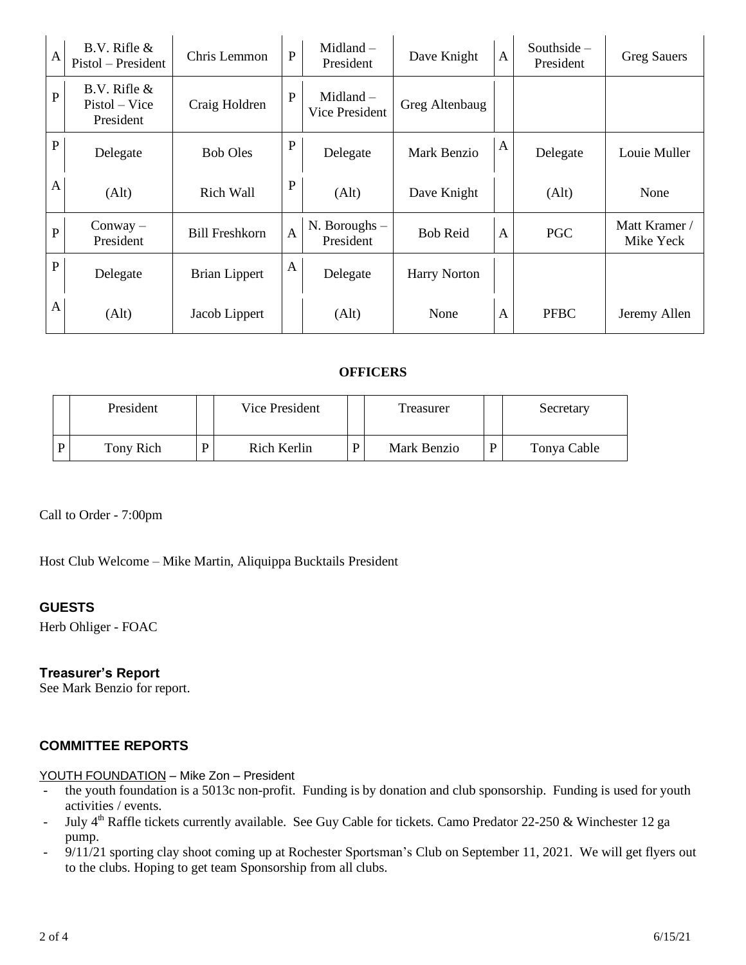| $\mathbf{A}$   | $B.V.$ Rifle $&$<br>Pistol – President           | Chris Lemmon          | $\mathbf{P}$ | Midland-<br>President          | Dave Knight         | $\mathbf{A}$ | Southside $-$<br>President | <b>Greg Sauers</b>         |
|----------------|--------------------------------------------------|-----------------------|--------------|--------------------------------|---------------------|--------------|----------------------------|----------------------------|
| ${\bf P}$      | $B.V.$ Rifle $&$<br>$Pistol - Vice$<br>President | Craig Holdren         | P            | $Midland -$<br>Vice President  | Greg Altenbaug      |              |                            |                            |
| ${\bf P}$      | Delegate                                         | <b>Bob Oles</b>       | $\mathbf{P}$ | Delegate                       | Mark Benzio         | $\mathbf{A}$ | Delegate                   | Louie Muller               |
| $\overline{A}$ | (Alt)                                            | Rich Wall             | $\mathbf P$  | (Alt)                          | Dave Knight         |              | (Alt)                      | None                       |
| $\mathbf{P}$   | $Convay -$<br>President                          | <b>Bill Freshkorn</b> | $\mathsf{A}$ | $N.$ Boroughs $-$<br>President | <b>Bob Reid</b>     | $\mathbf{A}$ | <b>PGC</b>                 | Matt Kramer /<br>Mike Yeck |
| ${\bf P}$      | Delegate                                         | <b>Brian Lippert</b>  | A            | Delegate                       | <b>Harry Norton</b> |              |                            |                            |
| $\mathbf{A}$   | (Alt)                                            | Jacob Lippert         |              | (Alt)                          | None                | A            | <b>PFBC</b>                | Jeremy Allen               |

#### **OFFICERS**

| President | Vice President |  | Treasurer   |  | Secretary   |
|-----------|----------------|--|-------------|--|-------------|
| Tony Rich | Rich Kerlin    |  | Mark Benzio |  | Tonya Cable |

Call to Order - 7:00pm

Host Club Welcome – Mike Martin, Aliquippa Bucktails President

#### **GUESTS**

Herb Ohliger - FOAC

#### **Treasurer's Report**

See Mark Benzio for report.

#### **COMMITTEE REPORTS**

#### YOUTH FOUNDATION - Mike Zon - President

- the youth foundation is a 5013c non-profit. Funding is by donation and club sponsorship. Funding is used for youth activities / events.
- July 4<sup>th</sup> Raffle tickets currently available. See Guy Cable for tickets. Camo Predator 22-250 & Winchester 12 ga pump.
- 9/11/21 sporting clay shoot coming up at Rochester Sportsman's Club on September 11, 2021. We will get flyers out to the clubs. Hoping to get team Sponsorship from all clubs.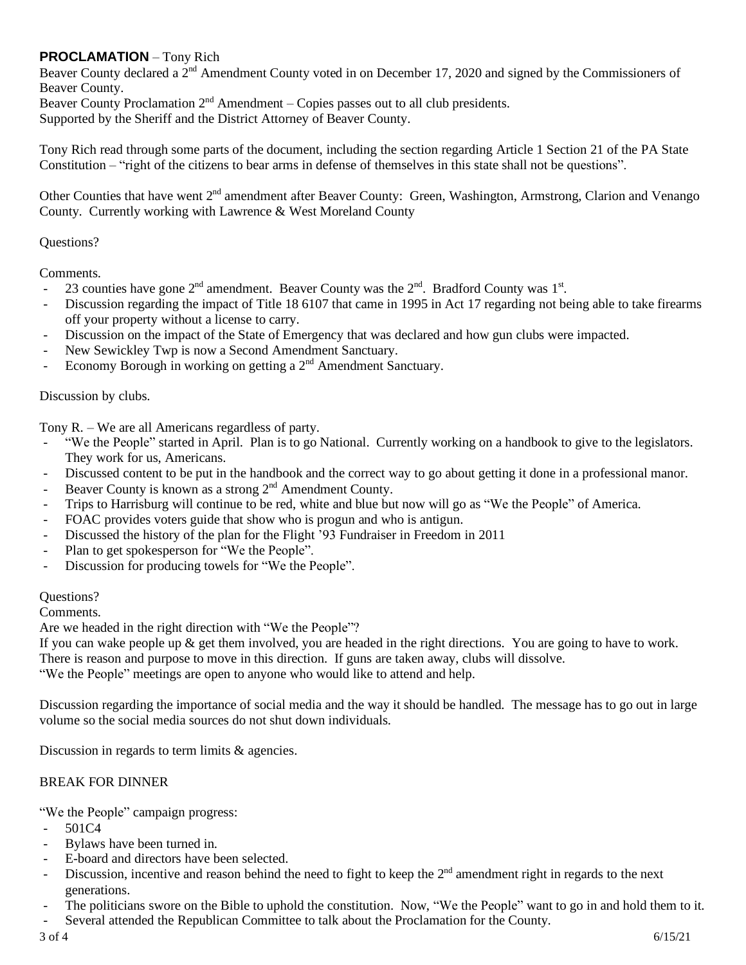### **PROCLAMATION** – Tony Rich

Beaver County declared a 2<sup>nd</sup> Amendment County voted in on December 17, 2020 and signed by the Commissioners of Beaver County.

Beaver County Proclamation  $2<sup>nd</sup>$  Amendment – Copies passes out to all club presidents.

Supported by the Sheriff and the District Attorney of Beaver County.

Tony Rich read through some parts of the document, including the section regarding Article 1 Section 21 of the PA State Constitution – "right of the citizens to bear arms in defense of themselves in this state shall not be questions".

Other Counties that have went 2<sup>nd</sup> amendment after Beaver County: Green, Washington, Armstrong, Clarion and Venango County. Currently working with Lawrence & West Moreland County

Questions?

Comments.

- 23 counties have gone  $2<sup>nd</sup>$  amendment. Beaver County was the  $2<sup>nd</sup>$ . Bradford County was  $1<sup>st</sup>$ .
- Discussion regarding the impact of Title 18 6107 that came in 1995 in Act 17 regarding not being able to take firearms off your property without a license to carry.
- Discussion on the impact of the State of Emergency that was declared and how gun clubs were impacted.
- New Sewickley Twp is now a Second Amendment Sanctuary.
- Economy Borough in working on getting a  $2<sup>nd</sup>$  Amendment Sanctuary.

#### Discussion by clubs.

Tony R. – We are all Americans regardless of party.

- "We the People" started in April. Plan is to go National. Currently working on a handbook to give to the legislators. They work for us, Americans.
- Discussed content to be put in the handbook and the correct way to go about getting it done in a professional manor.
- Beaver County is known as a strong  $2<sup>nd</sup>$  Amendment County.
- Trips to Harrisburg will continue to be red, white and blue but now will go as "We the People" of America.
- FOAC provides voters guide that show who is progun and who is antigun.
- Discussed the history of the plan for the Flight '93 Fundraiser in Freedom in 2011
- Plan to get spokesperson for "We the People".
- Discussion for producing towels for "We the People".

#### Questions?

Comments.

Are we headed in the right direction with "We the People"?

If you can wake people up  $\&$  get them involved, you are headed in the right directions. You are going to have to work. There is reason and purpose to move in this direction. If guns are taken away, clubs will dissolve.

"We the People" meetings are open to anyone who would like to attend and help.

Discussion regarding the importance of social media and the way it should be handled. The message has to go out in large volume so the social media sources do not shut down individuals.

Discussion in regards to term limits & agencies.

#### BREAK FOR DINNER

"We the People" campaign progress:

- 501C4
- Bylaws have been turned in.
- E-board and directors have been selected.
- Discussion, incentive and reason behind the need to fight to keep the  $2<sup>nd</sup>$  amendment right in regards to the next generations.
- The politicians swore on the Bible to uphold the constitution. Now, "We the People" want to go in and hold them to it.
- Several attended the Republican Committee to talk about the Proclamation for the County.